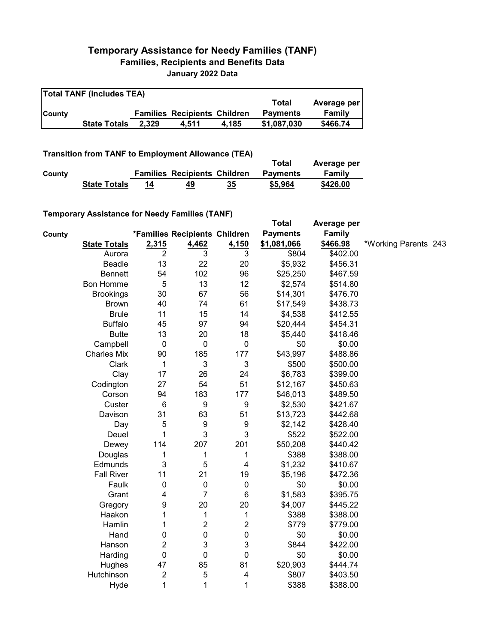## **Temporary Assistance for Needy Families (TANF) Families, Recipients and Benefits Data January 2022 Data**

| <b>Total TANF (includes TEA)</b> |                     |       |                                     |       |                 |             |  |
|----------------------------------|---------------------|-------|-------------------------------------|-------|-----------------|-------------|--|
|                                  |                     |       |                                     |       | Total           | Average per |  |
| <b>County</b>                    |                     |       | <b>Families Recipients Children</b> |       | <b>Payments</b> | Family      |  |
|                                  | <b>State Totals</b> | 2.329 | 4.511                               | 4.185 | \$1,087,030     | \$466.74    |  |

## **Transition from TANF to Employment Allowance (TEA)**

|        | <b>Transition from TANF to Employment Allowance (TEA)</b> | Total | Average per                         |    |                 |          |  |
|--------|-----------------------------------------------------------|-------|-------------------------------------|----|-----------------|----------|--|
| County |                                                           |       | <b>Families Recipients Children</b> |    | <b>Payments</b> | Family   |  |
|        | <b>State Totals</b>                                       | 14    | 49                                  | 35 | \$5,964         | \$426.00 |  |

## **Temporary Assistance for Needy Families (TANF)**

|        |                     |                  |                               |                         | Total           | Average per   |                      |  |
|--------|---------------------|------------------|-------------------------------|-------------------------|-----------------|---------------|----------------------|--|
| County |                     |                  | *Families Recipients Children |                         | <b>Payments</b> | <b>Family</b> |                      |  |
|        | <b>State Totals</b> | 2,315            | 4,462                         | 4,150                   | \$1,081,066     | \$466.98      | *Working Parents 243 |  |
|        | Aurora              | $\boldsymbol{2}$ | 3                             | 3                       | \$804           | \$402.00      |                      |  |
|        | <b>Beadle</b>       | 13               | 22                            | 20                      | \$5,932         | \$456.31      |                      |  |
|        | <b>Bennett</b>      | 54               | 102                           | 96                      | \$25,250        | \$467.59      |                      |  |
|        | Bon Homme           | 5                | 13                            | 12                      | \$2,574         | \$514.80      |                      |  |
|        | <b>Brookings</b>    | 30               | 67                            | 56                      | \$14,301        | \$476.70      |                      |  |
|        | <b>Brown</b>        | 40               | 74                            | 61                      | \$17,549        | \$438.73      |                      |  |
|        | <b>Brule</b>        | 11               | 15                            | 14                      | \$4,538         | \$412.55      |                      |  |
|        | <b>Buffalo</b>      | 45               | 97                            | 94                      | \$20,444        | \$454.31      |                      |  |
|        | <b>Butte</b>        | 13               | 20                            | 18                      | \$5,440         | \$418.46      |                      |  |
|        | Campbell            | $\mathbf 0$      | $\mathbf 0$                   | 0                       | \$0             | \$0.00        |                      |  |
|        | <b>Charles Mix</b>  | 90               | 185                           | 177                     | \$43,997        | \$488.86      |                      |  |
|        | Clark               | 1                | $\mathbf{3}$                  | 3                       | \$500           | \$500.00      |                      |  |
|        | Clay                | 17               | 26                            | 24                      | \$6,783         | \$399.00      |                      |  |
|        | Codington           | 27               | 54                            | 51                      | \$12,167        | \$450.63      |                      |  |
|        | Corson              | 94               | 183                           | 177                     | \$46,013        | \$489.50      |                      |  |
|        | Custer              | 6                | 9                             | 9                       | \$2,530         | \$421.67      |                      |  |
|        | Davison             | 31               | 63                            | 51                      | \$13,723        | \$442.68      |                      |  |
|        | Day                 | 5                | $\boldsymbol{9}$              | 9                       | \$2,142         | \$428.40      |                      |  |
|        | Deuel               | 1                | 3                             | 3                       | \$522           | \$522.00      |                      |  |
|        | Dewey               | 114              | 207                           | 201                     | \$50,208        | \$440.42      |                      |  |
|        | Douglas             | 1                | 1                             | 1                       | \$388           | \$388.00      |                      |  |
|        | Edmunds             | 3                | 5                             | $\overline{\mathbf{4}}$ | \$1,232         | \$410.67      |                      |  |
|        | <b>Fall River</b>   | 11               | 21                            | 19                      | \$5,196         | \$472.36      |                      |  |
|        | Faulk               | 0                | 0                             | $\pmb{0}$               | \$0             | \$0.00        |                      |  |
|        | Grant               | 4                | $\overline{7}$                | 6                       | \$1,583         | \$395.75      |                      |  |
|        | Gregory             | 9                | 20                            | 20                      | \$4,007         | \$445.22      |                      |  |
|        | Haakon              | 1                | 1                             | 1                       | \$388           | \$388.00      |                      |  |
|        | Hamlin              | 1                | $\boldsymbol{2}$              | $\overline{c}$          | \$779           | \$779.00      |                      |  |
|        | Hand                | 0                | $\pmb{0}$                     | 0                       | \$0             | \$0.00        |                      |  |
|        | Hanson              | $\overline{c}$   | 3                             | 3                       | \$844           | \$422.00      |                      |  |
|        | Harding             | $\pmb{0}$        | $\mathbf 0$                   | $\pmb{0}$               | \$0             | \$0.00        |                      |  |
|        | Hughes              | 47               | 85                            | 81                      | \$20,903        | \$444.74      |                      |  |
|        | Hutchinson          | $\boldsymbol{2}$ | 5                             | 4                       | \$807           | \$403.50      |                      |  |
|        | Hyde                | 1                | 1                             | 1                       | \$388           | \$388.00      |                      |  |